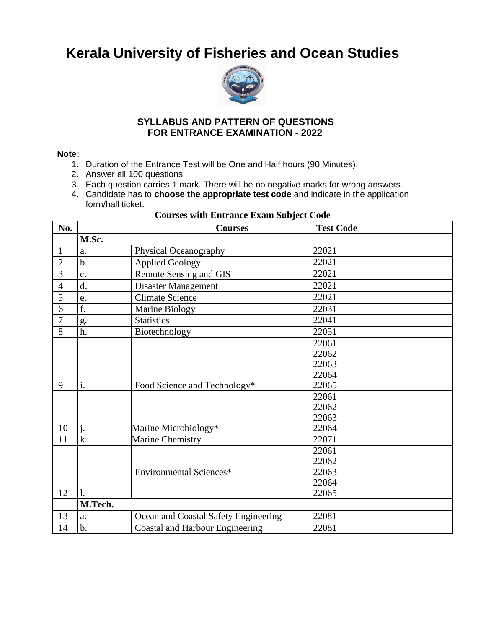# **Kerala University of Fisheries and Ocean Studies**



### **SYLLABUS AND PATTERN OF QUESTIONS FOR ENTRANCE EXAMINATION - 2022**

#### **Note:**

- 1. Duration of the Entrance Test will be One and Half hours (90 Minutes).
- 2. Answer all 100 questions.
- 3. Each question carries 1 mark. There will be no negative marks for wrong answers.
- 4. Candidate has to **choose the appropriate test code** and indicate in the application form/hall ticket.

| No.            |                | <b>Courses</b>                       | <b>Test Code</b> |
|----------------|----------------|--------------------------------------|------------------|
|                | M.Sc.          |                                      |                  |
| $\mathbf{1}$   | a.             | Physical Oceanography                | 22021            |
| $\mathbf{2}$   | $b$ .          | <b>Applied Geology</b>               | 22021            |
| 3              | $\mathbf{c}$ . | Remote Sensing and GIS               | 22021            |
| $\overline{4}$ | d.             | <b>Disaster Management</b>           | 22021            |
| 5              | e.             | <b>Climate Science</b>               | 22021            |
| 6              | f.             | Marine Biology                       | 22031            |
| $\overline{7}$ | g.             | <b>Statistics</b>                    | 22041            |
| 8              | h.             | Biotechnology                        | 22051            |
|                |                |                                      | 22061            |
|                |                |                                      | 22062            |
|                |                |                                      | 22063            |
|                |                |                                      | 22064            |
| 9              | i.             | Food Science and Technology*         | 22065            |
|                |                |                                      | 22061            |
|                |                |                                      | 22062            |
|                |                |                                      | 22063            |
| 10             |                | Marine Microbiology*                 | 22064            |
| 11             | k.             | Marine Chemistry                     | 22071            |
|                |                |                                      | 22061            |
|                |                |                                      | 22062            |
|                |                | Environmental Sciences*              | 22063            |
|                |                |                                      | 22064            |
| 12             | 1.             |                                      | 22065            |
|                | M.Tech.        |                                      |                  |
| 13             | a.             | Ocean and Coastal Safety Engineering | 22081            |
| 14             | b.             | Coastal and Harbour Engineering      | 22081            |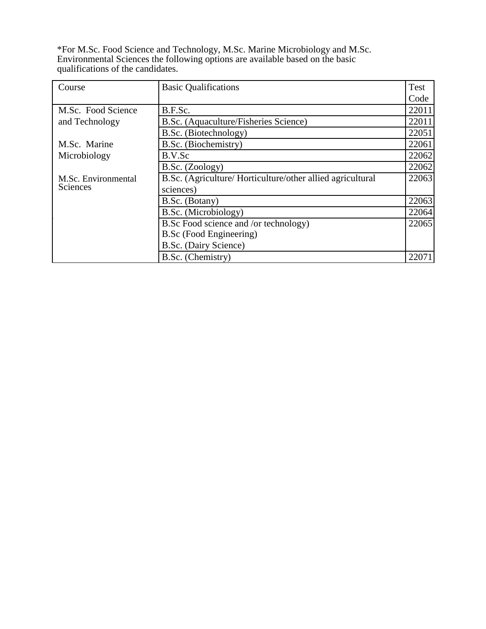\*For M.Sc. Food Science and Technology, M.Sc. Marine Microbiology and M.Sc. Environmental Sciences the following options are available based on the basic qualifications of the candidates.

| Course              | <b>Basic Qualifications</b>                               | Test  |
|---------------------|-----------------------------------------------------------|-------|
|                     |                                                           | Code  |
| M.Sc. Food Science  | B.F.Sc.                                                   | 22011 |
| and Technology      | B.Sc. (Aquaculture/Fisheries Science)                     | 22011 |
|                     | B.Sc. (Biotechnology)                                     | 22051 |
| M.Sc. Marine        | B.Sc. (Biochemistry)                                      | 22061 |
| Microbiology        | B.V.Sc                                                    | 22062 |
|                     | B.Sc. (Zoology)                                           | 22062 |
| M.Sc. Environmental | B.Sc. (Agriculture/Horticulture/other allied agricultural | 22063 |
| Sciences            | sciences)                                                 |       |
|                     | B.Sc. (Botany)                                            | 22063 |
|                     | B.Sc. (Microbiology)                                      | 22064 |
|                     | B.Sc Food science and /or technology)                     | 22065 |
|                     | B.Sc (Food Engineering)                                   |       |
|                     | B.Sc. (Dairy Science)                                     |       |
|                     | B.Sc. (Chemistry)                                         | 2207  |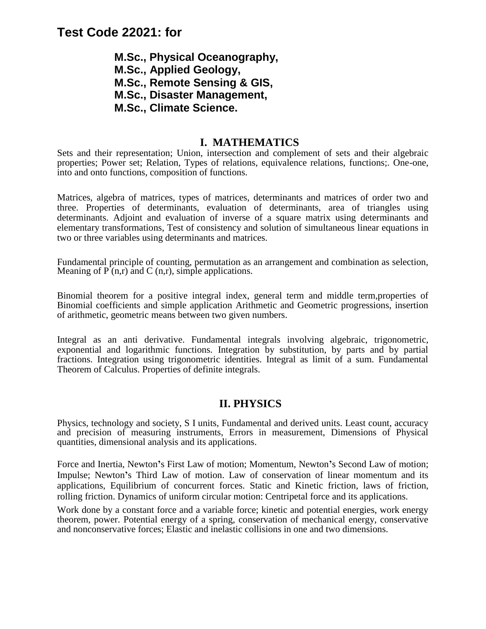# **Test Code 22021: for**

**M.Sc., Physical Oceanography,**

**M.Sc., Applied Geology,**

**M.Sc., Remote Sensing & GIS,**

**M.Sc., Disaster Management,**

**M.Sc., Climate Science.**

### **I. MATHEMATICS**

Sets and their representation; Union, intersection and complement of sets and their algebraic properties; Power set; Relation, Types of relations, equivalence relations, functions;. One-one, into and onto functions, composition of functions.

Matrices, algebra of matrices, types of matrices, determinants and matrices of order two and three. Properties of determinants, evaluation of determinants, area of triangles using determinants. Adjoint and evaluation of inverse of a square matrix using determinants and elementary transformations, Test of consistency and solution of simultaneous linear equations in two or three variables using determinants and matrices.

Fundamental principle of counting, permutation as an arrangement and combination as selection, Meaning of  $\overline{P}(n,r)$  and  $\overline{C}(n,r)$ , simple applications.

Binomial theorem for a positive integral index, general term and middle term,properties of Binomial coefficients and simple application Arithmetic and Geometric progressions, insertion of arithmetic, geometric means between two given numbers.

Integral as an anti derivative. Fundamental integrals involving algebraic, trigonometric, exponential and logarithmic functions. Integration by substitution, by parts and by partial fractions. Integration using trigonometric identities. Integral as limit of a sum. Fundamental Theorem of Calculus. Properties of definite integrals.

## **II. PHYSICS**

Physics, technology and society, S I units, Fundamental and derived units. Least count, accuracy and precision of measuring instruments, Errors in measurement, Dimensions of Physical quantities, dimensional analysis and its applications.

Force and Inertia, Newton**'**s First Law of motion; Momentum, Newton**'**s Second Law of motion; Impulse; Newton**'**s Third Law of motion. Law of conservation of linear momentum and its applications, Equilibrium of concurrent forces. Static and Kinetic friction, laws of friction, rolling friction. Dynamics of uniform circular motion: Centripetal force and its applications.

Work done by a constant force and a variable force; kinetic and potential energies, work energy theorem, power. Potential energy of a spring, conservation of mechanical energy, conservative and nonconservative forces; Elastic and inelastic collisions in one and two dimensions.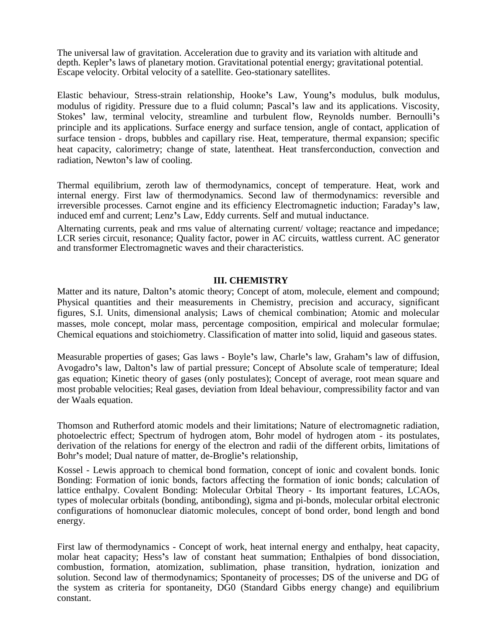The universal law of gravitation. Acceleration due to gravity and its variation with altitude and depth. Kepler**'**s laws of planetary motion. Gravitational potential energy; gravitational potential. Escape velocity. Orbital velocity of a satellite. Geo-stationary satellites.

Elastic behaviour, Stress-strain relationship, Hooke**'**s Law, Young**'**s modulus, bulk modulus, modulus of rigidity. Pressure due to a fluid column; Pascal**'**s law and its applications. Viscosity, Stokes**'** law, terminal velocity, streamline and turbulent flow, Reynolds number. Bernoulli**'**s principle and its applications. Surface energy and surface tension, angle of contact, application of surface tension - drops, bubbles and capillary rise. Heat, temperature, thermal expansion; specific heat capacity, calorimetry; change of state, latentheat. Heat transferconduction, convection and radiation, Newton**'**s law of cooling.

Thermal equilibrium, zeroth law of thermodynamics, concept of temperature. Heat, work and internal energy. First law of thermodynamics. Second law of thermodynamics: reversible and irreversible processes. Carnot engine and its efficiency Electromagnetic induction; Faraday**'**s law, induced emf and current; Lenz**'**s Law, Eddy currents. Self and mutual inductance.

Alternating currents, peak and rms value of alternating current/ voltage; reactance and impedance; LCR series circuit, resonance; Quality factor, power in AC circuits, wattless current. AC generator and transformer Electromagnetic waves and their characteristics.

#### **III. CHEMISTRY**

Matter and its nature, Dalton**'**s atomic theory; Concept of atom, molecule, element and compound; Physical quantities and their measurements in Chemistry, precision and accuracy, significant figures, S.I. Units, dimensional analysis; Laws of chemical combination; Atomic and molecular masses, mole concept, molar mass, percentage composition, empirical and molecular formulae; Chemical equations and stoichiometry. Classification of matter into solid, liquid and gaseous states.

Measurable properties of gases; Gas laws - Boyle**'**s law, Charle**'**s law, Graham**'**s law of diffusion, Avogadro**'**s law, Dalton**'**s law of partial pressure; Concept of Absolute scale of temperature; Ideal gas equation; Kinetic theory of gases (only postulates); Concept of average, root mean square and most probable velocities; Real gases, deviation from Ideal behaviour, compressibility factor and van der Waals equation.

Thomson and Rutherford atomic models and their limitations; Nature of electromagnetic radiation, photoelectric effect; Spectrum of hydrogen atom, Bohr model of hydrogen atom - its postulates, derivation of the relations for energy of the electron and radii of the different orbits, limitations of Bohr**'**s model; Dual nature of matter, de-Broglie**'**s relationship,

Kossel - Lewis approach to chemical bond formation, concept of ionic and covalent bonds. Ionic Bonding: Formation of ionic bonds, factors affecting the formation of ionic bonds; calculation of lattice enthalpy. Covalent Bonding: Molecular Orbital Theory - Its important features, LCAOs, types of molecular orbitals (bonding, antibonding), sigma and pi-bonds, molecular orbital electronic configurations of homonuclear diatomic molecules, concept of bond order, bond length and bond energy.

First law of thermodynamics - Concept of work, heat internal energy and enthalpy, heat capacity, molar heat capacity; Hess**'**s law of constant heat summation; Enthalpies of bond dissociation, combustion, formation, atomization, sublimation, phase transition, hydration, ionization and solution. Second law of thermodynamics; Spontaneity of processes; DS of the universe and DG of the system as criteria for spontaneity, DG0 (Standard Gibbs energy change) and equilibrium constant.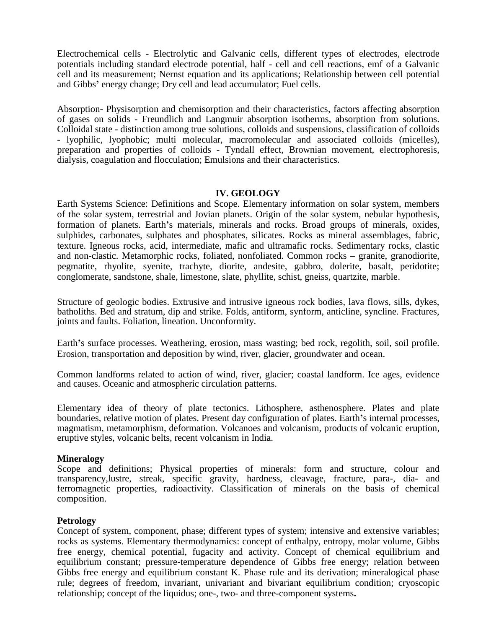Electrochemical cells - Electrolytic and Galvanic cells, different types of electrodes, electrode potentials including standard electrode potential, half - cell and cell reactions, emf of a Galvanic cell and its measurement; Nernst equation and its applications; Relationship between cell potential and Gibbs**'** energy change; Dry cell and lead accumulator; Fuel cells.

Absorption- Physisorption and chemisorption and their characteristics, factors affecting absorption of gases on solids - Freundlich and Langmuir absorption isotherms, absorption from solutions. Colloidal state - distinction among true solutions, colloids and suspensions, classification of colloids - lyophilic, lyophobic; multi molecular, macromolecular and associated colloids (micelles), preparation and properties of colloids - Tyndall effect, Brownian movement, electrophoresis, dialysis, coagulation and flocculation; Emulsions and their characteristics.

#### **IV. GEOLOGY**

Earth Systems Science: Definitions and Scope. Elementary information on solar system, members of the solar system, terrestrial and Jovian planets. Origin of the solar system, nebular hypothesis, formation of planets. Earth**'**s materials, minerals and rocks. Broad groups of minerals, oxides, sulphides, carbonates, sulphates and phosphates, silicates. Rocks as mineral assemblages, fabric, texture. Igneous rocks, acid, intermediate, mafic and ultramafic rocks. Sedimentary rocks, clastic and non-clastic. Metamorphic rocks, foliated, nonfoliated. Common rocks **–** granite, granodiorite, pegmatite, rhyolite, syenite, trachyte, diorite, andesite, gabbro, dolerite, basalt, peridotite; conglomerate, sandstone, shale, limestone, slate, phyllite, schist, gneiss, quartzite, marble.

Structure of geologic bodies. Extrusive and intrusive igneous rock bodies, lava flows, sills, dykes, batholiths. Bed and stratum, dip and strike. Folds, antiform, synform, anticline, syncline. Fractures, joints and faults. Foliation, lineation. Unconformity.

Earth**'**s surface processes. Weathering, erosion, mass wasting; bed rock, regolith, soil, soil profile. Erosion, transportation and deposition by wind, river, glacier, groundwater and ocean.

Common landforms related to action of wind, river, glacier; coastal landform. Ice ages, evidence and causes. Oceanic and atmospheric circulation patterns.

Elementary idea of theory of plate tectonics. Lithosphere, asthenosphere. Plates and plate boundaries, relative motion of plates. Present day configuration of plates. Earth**'**s internal processes, magmatism, metamorphism, deformation. Volcanoes and volcanism, products of volcanic eruption, eruptive styles, volcanic belts, recent volcanism in India.

#### **Mineralogy**

Scope and definitions; Physical properties of minerals: form and structure, colour and transparency,lustre, streak, specific gravity, hardness, cleavage, fracture, para-, dia- and ferromagnetic properties, radioactivity. Classification of minerals on the basis of chemical composition.

### **Petrology**

Concept of system, component, phase; different types of system; intensive and extensive variables; rocks as systems. Elementary thermodynamics: concept of enthalpy, entropy, molar volume, Gibbs free energy, chemical potential, fugacity and activity. Concept of chemical equilibrium and equilibrium constant; pressure-temperature dependence of Gibbs free energy; relation between Gibbs free energy and equilibrium constant K. Phase rule and its derivation; mineralogical phase rule; degrees of freedom, invariant, univariant and bivariant equilibrium condition; cryoscopic relationship; concept of the liquidus; one-, two- and three-component systems**.**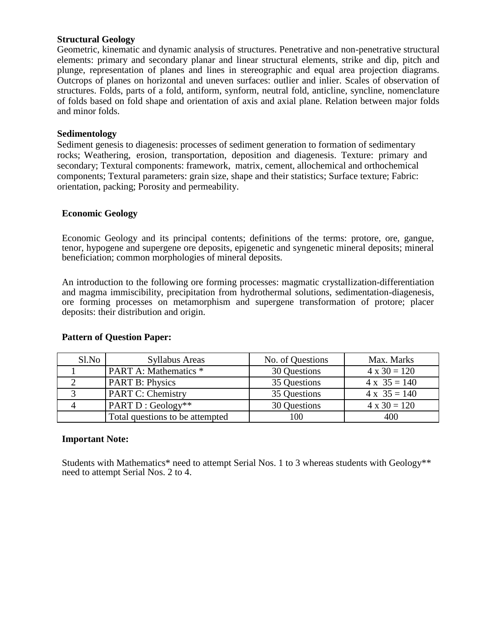### **Structural Geology**

Geometric, kinematic and dynamic analysis of structures. Penetrative and non-penetrative structural elements: primary and secondary planar and linear structural elements, strike and dip, pitch and plunge, representation of planes and lines in stereographic and equal area projection diagrams. Outcrops of planes on horizontal and uneven surfaces: outlier and inlier. Scales of observation of structures. Folds, parts of a fold, antiform, synform, neutral fold, anticline, syncline, nomenclature of folds based on fold shape and orientation of axis and axial plane. Relation between major folds and minor folds.

### **Sedimentology**

Sediment genesis to diagenesis: processes of sediment generation to formation of sedimentary rocks; Weathering, erosion, transportation, deposition and diagenesis. Texture: primary and secondary; Textural components: framework, matrix, cement, allochemical and orthochemical components; Textural parameters: grain size, shape and their statistics; Surface texture; Fabric: orientation, packing; Porosity and permeability.

### **Economic Geology**

Economic Geology and its principal contents; definitions of the terms: protore, ore, gangue, tenor, hypogene and supergene ore deposits, epigenetic and syngenetic mineral deposits; mineral beneficiation; common morphologies of mineral deposits.

An introduction to the following ore forming processes: magmatic crystallization-differentiation and magma immiscibility, precipitation from hydrothermal solutions, sedimentation-diagenesis, ore forming processes on metamorphism and supergene transformation of protore; placer deposits: their distribution and origin.

| Sl.No | <b>Syllabus Areas</b>           | No. of Questions | Max. Marks          |
|-------|---------------------------------|------------------|---------------------|
|       | <b>PART A: Mathematics *</b>    | 30 Questions     | $4 \times 30 = 120$ |
|       | <b>PART B: Physics</b>          | 35 Questions     | $4 \times 35 = 140$ |
|       | <b>PART C: Chemistry</b>        | 35 Questions     | $4 \times 35 = 140$ |
|       | $PARTD:Geology**$               | 30 Questions     | $4 \times 30 = 120$ |
|       | Total questions to be attempted | 100              | 400                 |

### **Pattern of Question Paper:**

### **Important Note:**

Students with Mathematics\* need to attempt Serial Nos. 1 to 3 whereas students with Geology\*\* need to attempt Serial Nos. 2 to 4.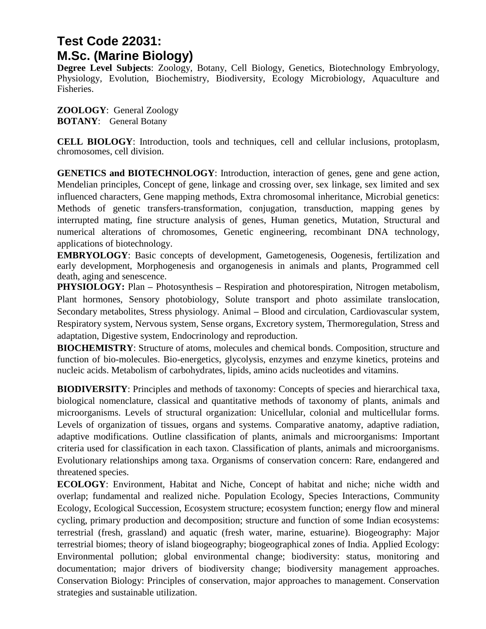# **Test Code 22031: M.Sc. (Marine Biology)**

**Degree Level Subjects**: Zoology, Botany, Cell Biology, Genetics, Biotechnology Embryology, Physiology, Evolution, Biochemistry, Biodiversity, Ecology Microbiology, Aquaculture and Fisheries.

**ZOOLOGY**: General Zoology **BOTANY**: General Botany

**CELL BIOLOGY**: Introduction, tools and techniques, cell and cellular inclusions, protoplasm, chromosomes, cell division.

**GENETICS and BIOTECHNOLOGY:** Introduction, interaction of genes, gene and gene action, Mendelian principles, Concept of gene, linkage and crossing over, sex linkage, sex limited and sex influenced characters, Gene mapping methods, Extra chromosomal inheritance, Microbial genetics: Methods of genetic transfers-transformation, conjugation, transduction, mapping genes by interrupted mating, fine structure analysis of genes, Human genetics, Mutation, Structural and numerical alterations of chromosomes, Genetic engineering, recombinant DNA technology, applications of biotechnology.

**EMBRYOLOGY**: Basic concepts of development, Gametogenesis, Oogenesis, fertilization and early development, Morphogenesis and organogenesis in animals and plants, Programmed cell death, aging and senescence.

**PHYSIOLOGY:** Plan **–** Photosynthesis **–** Respiration and photorespiration, Nitrogen metabolism, Plant hormones, Sensory photobiology, Solute transport and photo assimilate translocation, Secondary metabolites, Stress physiology. Animal **–** Blood and circulation, Cardiovascular system, Respiratory system, Nervous system, Sense organs, Excretory system, Thermoregulation, Stress and adaptation, Digestive system, Endocrinology and reproduction.

**BIOCHEMISTRY**: Structure of atoms, molecules and chemical bonds. Composition, structure and function of bio-molecules. Bio-energetics, glycolysis, enzymes and enzyme kinetics, proteins and nucleic acids. Metabolism of carbohydrates, lipids, amino acids nucleotides and vitamins.

**BIODIVERSITY**: Principles and methods of taxonomy: Concepts of species and hierarchical taxa, biological nomenclature, classical and quantitative methods of taxonomy of plants, animals and microorganisms. Levels of structural organization: Unicellular, colonial and multicellular forms. Levels of organization of tissues, organs and systems. Comparative anatomy, adaptive radiation, adaptive modifications. Outline classification of plants, animals and microorganisms: Important criteria used for classification in each taxon. Classification of plants, animals and microorganisms. Evolutionary relationships among taxa. Organisms of conservation concern: Rare, endangered and threatened species.

**ECOLOGY**: Environment, Habitat and Niche, Concept of habitat and niche; niche width and overlap; fundamental and realized niche. Population Ecology, Species Interactions, Community Ecology, Ecological Succession, Ecosystem structure; ecosystem function; energy flow and mineral cycling, primary production and decomposition; structure and function of some Indian ecosystems: terrestrial (fresh, grassland) and aquatic (fresh water, marine, estuarine). Biogeography: Major terrestrial biomes; theory of island biogeography; biogeographical zones of India. Applied Ecology: Environmental pollution; global environmental change; biodiversity: status, monitoring and documentation; major drivers of biodiversity change; biodiversity management approaches. Conservation Biology: Principles of conservation, major approaches to management. Conservation strategies and sustainable utilization.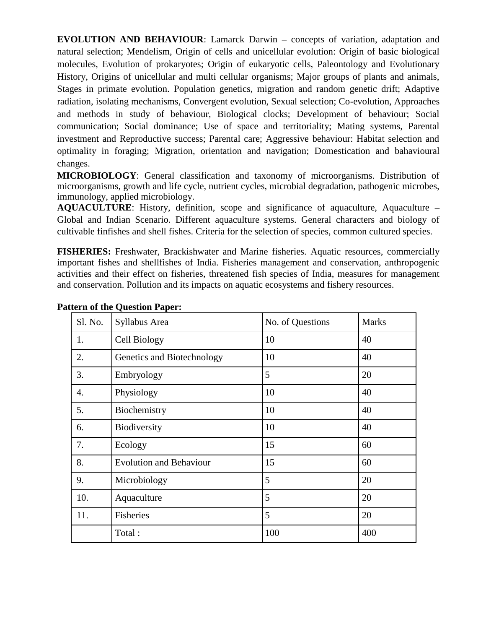**EVOLUTION AND BEHAVIOUR**: Lamarck Darwin **–** concepts of variation, adaptation and natural selection; Mendelism, Origin of cells and unicellular evolution: Origin of basic biological molecules, Evolution of prokaryotes; Origin of eukaryotic cells, Paleontology and Evolutionary History, Origins of unicellular and multi cellular organisms; Major groups of plants and animals, Stages in primate evolution. Population genetics, migration and random genetic drift; Adaptive radiation, isolating mechanisms, Convergent evolution, Sexual selection; Co-evolution, Approaches and methods in study of behaviour, Biological clocks; Development of behaviour; Social communication; Social dominance; Use of space and territoriality; Mating systems, Parental investment and Reproductive success; Parental care; Aggressive behaviour: Habitat selection and optimality in foraging; Migration, orientation and navigation; Domestication and bahavioural changes.

**MICROBIOLOGY**: General classification and taxonomy of microorganisms. Distribution of microorganisms, growth and life cycle, nutrient cycles, microbial degradation, pathogenic microbes, immunology, applied microbiology.

**AQUACULTURE**: History, definition, scope and significance of aquaculture, Aquaculture **–** Global and Indian Scenario. Different aquaculture systems. General characters and biology of cultivable finfishes and shell fishes. Criteria for the selection of species, common cultured species.

**FISHERIES:** Freshwater, Brackishwater and Marine fisheries. Aquatic resources, commercially important fishes and shellfishes of India. Fisheries management and conservation, anthropogenic activities and their effect on fisheries, threatened fish species of India, measures for management and conservation. Pollution and its impacts on aquatic ecosystems and fishery resources.

| Sl. No. | Syllabus Area                  | No. of Questions | <b>Marks</b> |
|---------|--------------------------------|------------------|--------------|
| 1.      | Cell Biology                   | 10               | 40           |
| 2.      | Genetics and Biotechnology     | 10               | 40           |
| 3.      | Embryology                     | 5                | 20           |
| 4.      | Physiology                     | 10               | 40           |
| 5.      | Biochemistry                   | 10               | 40           |
| 6.      | Biodiversity                   | 10               | 40           |
| 7.      | Ecology                        | 15               | 60           |
| 8.      | <b>Evolution and Behaviour</b> | 15               | 60           |
| 9.      | Microbiology                   | 5                | 20           |
| 10.     | Aquaculture                    | 5                | 20           |
| 11.     | Fisheries                      | 5                | 20           |
|         | Total:                         | 100              | 400          |

#### **Pattern of the Question Paper:**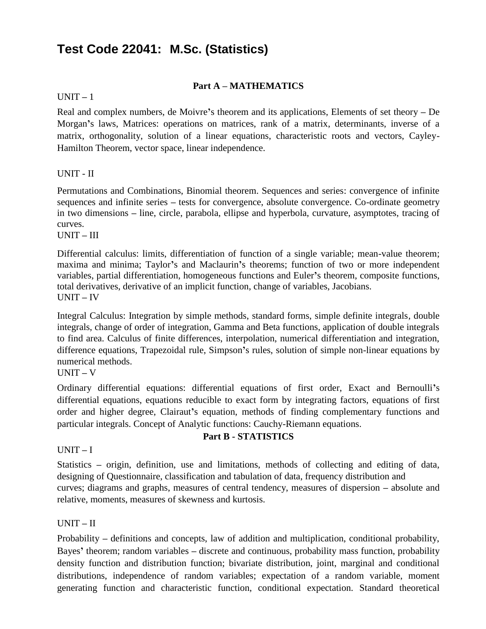# **Test Code 22041: M.Sc. (Statistics)**

### **Part A – MATHEMATICS**

### $UNIT - 1$

Real and complex numbers, de Moivre**'**s theorem and its applications, Elements of set theory **–** De Morgan**'**s laws, Matrices: operations on matrices, rank of a matrix, determinants, inverse of a matrix, orthogonality, solution of a linear equations, characteristic roots and vectors, Cayley-Hamilton Theorem, vector space, linear independence.

### UNIT - II

Permutations and Combinations, Binomial theorem. Sequences and series: convergence of infinite sequences and infinite series **–** tests for convergence, absolute convergence. Co-ordinate geometry in two dimensions **–** line, circle, parabola, ellipse and hyperbola, curvature, asymptotes, tracing of curves.

#### UNIT **–** III

Differential calculus: limits, differentiation of function of a single variable; mean-value theorem; maxima and minima; Taylor**'**s and Maclaurin**'**s theorems; function of two or more independent variables, partial differentiation, homogeneous functions and Euler**'**s theorem, composite functions, total derivatives, derivative of an implicit function, change of variables, Jacobians. UNIT **–** IV

Integral Calculus: Integration by simple methods, standard forms, simple definite integrals, double integrals, change of order of integration, Gamma and Beta functions, application of double integrals to find area. Calculus of finite differences, interpolation, numerical differentiation and integration, difference equations, Trapezoidal rule, Simpson**'**s rules, solution of simple non-linear equations by numerical methods.

### UNIT **–** V

Ordinary differential equations: differential equations of first order, Exact and Bernoulli**'**s differential equations, equations reducible to exact form by integrating factors, equations of first order and higher degree, Clairaut**'**s equation, methods of finding complementary functions and particular integrals. Concept of Analytic functions: Cauchy-Riemann equations.

### **Part B - STATISTICS**

### UNIT **–** I

Statistics **–** origin, definition, use and limitations, methods of collecting and editing of data, designing of Questionnaire, classification and tabulation of data, frequency distribution and curves; diagrams and graphs, measures of central tendency, measures of dispersion **–** absolute and relative, moments, measures of skewness and kurtosis.

### UNIT **–** II

Probability **–** definitions and concepts, law of addition and multiplication, conditional probability, Bayes**'** theorem; random variables **–** discrete and continuous, probability mass function, probability density function and distribution function; bivariate distribution, joint, marginal and conditional distributions, independence of random variables; expectation of a random variable, moment generating function and characteristic function, conditional expectation. Standard theoretical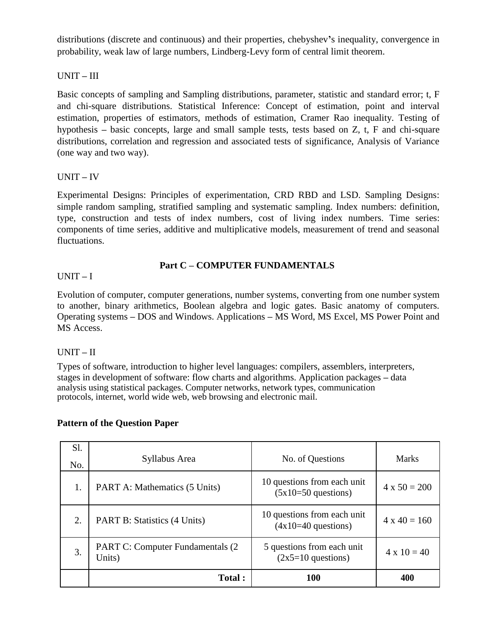distributions (discrete and continuous) and their properties, chebyshev**'**s inequality, convergence in probability, weak law of large numbers, Lindberg-Levy form of central limit theorem.

UNIT **–** III

Basic concepts of sampling and Sampling distributions, parameter, statistic and standard error; t, F and chi-square distributions. Statistical Inference: Concept of estimation, point and interval estimation, properties of estimators, methods of estimation, Cramer Rao inequality. Testing of hypothesis **–** basic concepts, large and small sample tests, tests based on Z, t, F and chi-square distributions, correlation and regression and associated tests of significance, Analysis of Variance (one way and two way).

### UNIT **–** IV

Experimental Designs: Principles of experimentation, CRD RBD and LSD. Sampling Designs: simple random sampling, stratified sampling and systematic sampling. Index numbers: definition, type, construction and tests of index numbers, cost of living index numbers. Time series: components of time series, additive and multiplicative models, measurement of trend and seasonal fluctuations.

### **Part C – COMPUTER FUNDAMENTALS**

UNIT **–** I

Evolution of computer, computer generations, number systems, converting from one number system to another, binary arithmetics, Boolean algebra and logic gates. Basic anatomy of computers. Operating systems **–** DOS and Windows. Applications **–** MS Word, MS Excel, MS Power Point and MS Access.

### UNIT **–** II

Types of software, introduction to higher level languages: compilers, assemblers, interpreters, stages in development of software: flow charts and algorithms. Application packages **–** data analysis using statistical packages. Computer networks, network types, communication protocols, internet, world wide web, web browsing and electronic mail.

| Sl.<br>No. | Syllabus Area                                      | No. of Questions                                     | <b>Marks</b>        |
|------------|----------------------------------------------------|------------------------------------------------------|---------------------|
| 1.         | <b>PART A: Mathematics (5 Units)</b>               | 10 questions from each unit<br>$(5x10=50$ questions) | $4 \times 50 = 200$ |
| 2.         | <b>PART B: Statistics (4 Units)</b>                | 10 questions from each unit<br>$(4x10=40$ questions) | $4 \times 40 = 160$ |
| 3.         | <b>PART C: Computer Fundamentals (2)</b><br>Units) | 5 questions from each unit<br>$(2x5=10$ questions)   | $4 \times 10 = 40$  |
|            | Total:                                             | <b>100</b>                                           | 400                 |

### **Pattern of the Question Paper**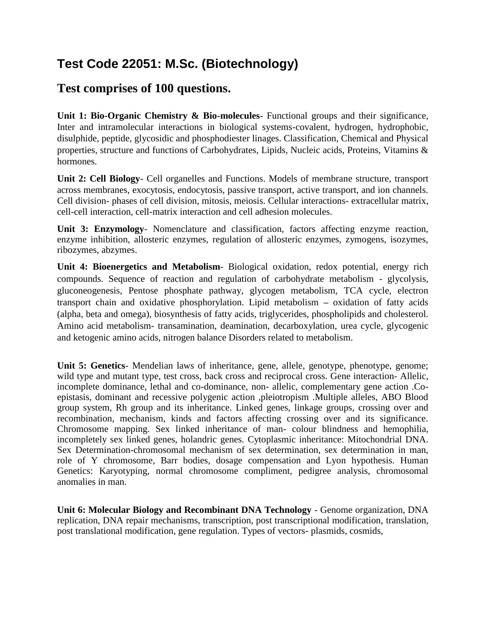# **Test Code 22051: M.Sc. (Biotechnology)**

## **Test comprises of 100 questions.**

**Unit 1: Bio-Organic Chemistry & Bio-molecules**- Functional groups and their significance, Inter and intramolecular interactions in biological systems-covalent, hydrogen, hydrophobic, disulphide, peptide, glycosidic and phosphodiester linages. Classification, Chemical and Physical properties, structure and functions of Carbohydrates, Lipids, Nucleic acids, Proteins, Vitamins & hormones.

**Unit 2: Cell Biology**- Cell organelles and Functions. Models of membrane structure, transport across membranes, exocytosis, endocytosis, passive transport, active transport, and ion channels. Cell division- phases of cell division, mitosis, meiosis. Cellular interactions- extracellular matrix, cell-cell interaction, cell-matrix interaction and cell adhesion molecules.

**Unit 3: Enzymology**- Nomenclature and classification, factors affecting enzyme reaction, enzyme inhibition, allosteric enzymes, regulation of allosteric enzymes, zymogens, isozymes, ribozymes, abzymes.

**Unit 4: Bioenergetics and Metabolism**- Biological oxidation, redox potential, energy rich compounds. Sequence of reaction and regulation of carbohydrate metabolism - glycolysis, gluconeogenesis, Pentose phosphate pathway, glycogen metabolism, TCA cycle, electron transport chain and oxidative phosphorylation. Lipid metabolism **–** oxidation of fatty acids (alpha, beta and omega), biosynthesis of fatty acids, triglycerides, phospholipids and cholesterol. Amino acid metabolism- transamination, deamination, decarboxylation, urea cycle, glycogenic and ketogenic amino acids, nitrogen balance Disorders related to metabolism.

**Unit 5: Genetics**- Mendelian laws of inheritance, gene, allele, genotype, phenotype, genome; wild type and mutant type, test cross, back cross and reciprocal cross. Gene interaction- Allelic, incomplete dominance, lethal and co-dominance, non- allelic, complementary gene action .Coepistasis, dominant and recessive polygenic action ,pleiotropism .Multiple alleles, ABO Blood group system, Rh group and its inheritance. Linked genes, linkage groups, crossing over and recombination, mechanism, kinds and factors affecting crossing over and its significance. Chromosome mapping. Sex linked inheritance of man- colour blindness and hemophilia, incompletely sex linked genes, holandric genes. Cytoplasmic inheritance: Mitochondrial DNA. Sex Determination-chromosomal mechanism of sex determination, sex determination in man, role of Y chromosome, Barr bodies, dosage compensation and Lyon hypothesis. Human Genetics: Karyotyping, normal chromosome compliment, pedigree analysis, chromosomal anomalies in man.

**Unit 6: Molecular Biology and Recombinant DNA Technology** - Genome organization, DNA replication, DNA repair mechanisms, transcription, post transcriptional modification, translation, post translational modification, gene regulation. Types of vectors- plasmids, cosmids,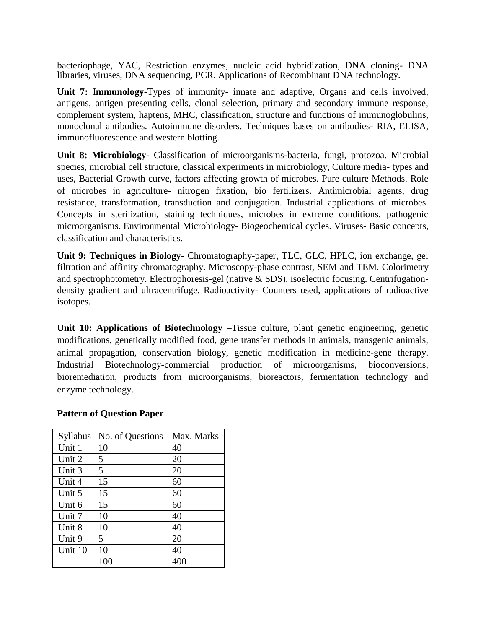bacteriophage, YAC, Restriction enzymes, nucleic acid hybridization, DNA cloning- DNA libraries, viruses, DNA sequencing, PCR. Applications of Recombinant DNA technology.

**Unit 7:** I**mmunology**-Types of immunity- innate and adaptive, Organs and cells involved, antigens, antigen presenting cells, clonal selection, primary and secondary immune response, complement system, haptens, MHC, classification, structure and functions of immunoglobulins, monoclonal antibodies. Autoimmune disorders. Techniques bases on antibodies- RIA, ELISA, immunofluorescence and western blotting.

**Unit 8: Microbiology**- Classification of microorganisms-bacteria, fungi, protozoa. Microbial species, microbial cell structure, classical experiments in microbiology, Culture media- types and uses, Bacterial Growth curve, factors affecting growth of microbes. Pure culture Methods. Role of microbes in agriculture- nitrogen fixation, bio fertilizers. Antimicrobial agents, drug resistance, transformation, transduction and conjugation. Industrial applications of microbes. Concepts in sterilization, staining techniques, microbes in extreme conditions, pathogenic microorganisms. Environmental Microbiology- Biogeochemical cycles. Viruses- Basic concepts, classification and characteristics.

**Unit 9: Techniques in Biology**- Chromatography-paper, TLC, GLC, HPLC, ion exchange, gel filtration and affinity chromatography. Microscopy-phase contrast, SEM and TEM. Colorimetry and spectrophotometry. Electrophoresis-gel (native & SDS), isoelectric focusing. Centrifugationdensity gradient and ultracentrifuge. Radioactivity- Counters used, applications of radioactive isotopes.

**Unit 10: Applications of Biotechnology –**Tissue culture, plant genetic engineering, genetic modifications, genetically modified food, gene transfer methods in animals, transgenic animals, animal propagation, conservation biology, genetic modification in medicine-gene therapy. Industrial Biotechnology-commercial production of microorganisms, bioconversions, bioremediation, products from microorganisms, bioreactors, fermentation technology and enzyme technology.

| Syllabus | No. of Questions | Max. Marks |
|----------|------------------|------------|
| Unit 1   | 10               | 40         |
| Unit 2   | 5                | 20         |
| Unit 3   | 5                | 20         |
| Unit 4   | 15               | 60         |
| Unit 5   | 15               | 60         |
| Unit 6   | 15               | 60         |
| Unit 7   | 10               | 40         |
| Unit 8   | 10               | 40         |
| Unit 9   | 5                | 20         |
| Unit 10  | 10               | 40         |
|          | 100              | 400        |

### **Pattern of Question Paper**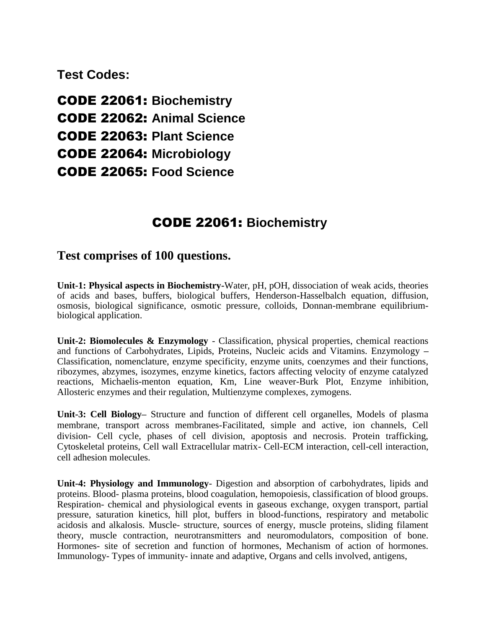## **Test Codes:**

CODE 22061: **Biochemistry** CODE 22062: **Animal Science** CODE 22063: **Plant Science** CODE 22064: **Microbiology** CODE 22065: **Food Science**

# CODE 22061: **Biochemistry**

## **Test comprises of 100 questions.**

**Unit-1: Physical aspects in Biochemistry-**Water, pH, pOH, dissociation of weak acids, theories of acids and bases, buffers, biological buffers, Henderson-Hasselbalch equation, diffusion, osmosis, biological significance, osmotic pressure, colloids, Donnan-membrane equilibriumbiological application.

**Unit-2: Biomolecules & Enzymology** - Classification, physical properties, chemical reactions and functions of Carbohydrates, Lipids, Proteins, Nucleic acids and Vitamins. Enzymology **–** Classification, nomenclature, enzyme specificity, enzyme units, coenzymes and their functions, ribozymes, abzymes, isozymes, enzyme kinetics, factors affecting velocity of enzyme catalyzed reactions, Michaelis-menton equation, Km, Line weaver-Burk Plot, Enzyme inhibition, Allosteric enzymes and their regulation, Multienzyme complexes, zymogens.

**Unit-3: Cell Biology–** Structure and function of different cell organelles, Models of plasma membrane, transport across membranes-Facilitated, simple and active, ion channels, Cell division- Cell cycle, phases of cell division, apoptosis and necrosis. Protein trafficking, Cytoskeletal proteins, Cell wall Extracellular matrix- Cell-ECM interaction, cell-cell interaction, cell adhesion molecules.

**Unit-4: Physiology and Immunology**- Digestion and absorption of carbohydrates, lipids and proteins. Blood- plasma proteins, blood coagulation, hemopoiesis, classification of blood groups. Respiration- chemical and physiological events in gaseous exchange, oxygen transport, partial pressure, saturation kinetics, hill plot, buffers in blood-functions, respiratory and metabolic acidosis and alkalosis. Muscle- structure, sources of energy, muscle proteins, sliding filament theory, muscle contraction, neurotransmitters and neuromodulators, composition of bone. Hormones- site of secretion and function of hormones, Mechanism of action of hormones. Immunology- Types of immunity- innate and adaptive, Organs and cells involved, antigens,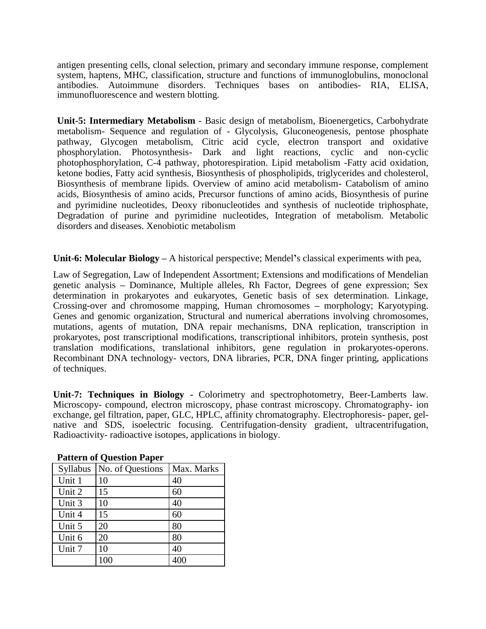antigen presenting cells, clonal selection, primary and secondary immune response, complement system, haptens, MHC, classification, structure and functions of immunoglobulins, monoclonal antibodies. Autoimmune disorders. Techniques bases on antibodies- RIA, ELISA, immunofluorescence and western blotting.

**Unit-5: Intermediary Metabolism** - Basic design of metabolism, Bioenergetics, Carbohydrate metabolism- Sequence and regulation of - Glycolysis, Gluconeogenesis, pentose phosphate pathway, Glycogen metabolism, Citric acid cycle, electron transport and oxidative phosphorylation. Photosynthesis- Dark and light reactions, cyclic and non-cyclic photophosphorylation, C-4 pathway, photorespiration. Lipid metabolism -Fatty acid oxidation, ketone bodies, Fatty acid synthesis, Biosynthesis of phospholipids, triglycerides and cholesterol, Biosynthesis of membrane lipids. Overview of amino acid metabolism- Catabolism of amino acids, Biosynthesis of amino acids, Precursor functions of amino acids, Biosynthesis of purine and pyrimidine nucleotides, Deoxy ribonucleotides and synthesis of nucleotide triphosphate, Degradation of purine and pyrimidine nucleotides, Integration of metabolism. Metabolic disorders and diseases. Xenobiotic metabolism

**Unit-6: Molecular Biology –** A historical perspective; Mendel**'**s classical experiments with pea,

Law of Segregation, Law of Independent Assortment; Extensions and modifications of Mendelian genetic analysis **–** Dominance, Multiple alleles, Rh Factor, Degrees of gene expression; Sex determination in prokaryotes and eukaryotes, Genetic basis of sex determination. Linkage, Crossing-over and chromosome mapping, Human chromosomes **–** morphology; Karyotyping. Genes and genomic organization, Structural and numerical aberrations involving chromosomes, mutations, agents of mutation, DNA repair mechanisms, DNA replication, transcription in prokaryotes, post transcriptional modifications, transcriptional inhibitors, protein synthesis, post translation modifications, translational inhibitors, gene regulation in prokaryotes-operons. Recombinant DNA technology- vectors, DNA libraries, PCR, DNA finger printing, applications of techniques.

**Unit-7: Techniques in Biology -** Colorimetry and spectrophotometry, Beer-Lamberts law. Microscopy- compound, electron microscopy, phase contrast microscopy. Chromatography- ion exchange, gel filtration, paper, GLC, HPLC, affinity chromatography. Electrophoresis- paper, gelnative and SDS, isoelectric focusing. Centrifugation-density gradient, ultracentrifugation, Radioactivity- radioactive isotopes, applications in biology.

| Syllabus | No. of Questions | Max. Marks |
|----------|------------------|------------|
| Unit 1   | 10               | 40         |
| Unit 2   | 15               | 60         |
| Unit 3   | 10               | 40         |
| Unit 4   | 15               | 60         |
| Unit 5   | 20               | 80         |
| Unit 6   | 20               | 80         |
| Unit 7   | 10               | 40         |
|          |                  |            |

#### **Pattern of Question Paper**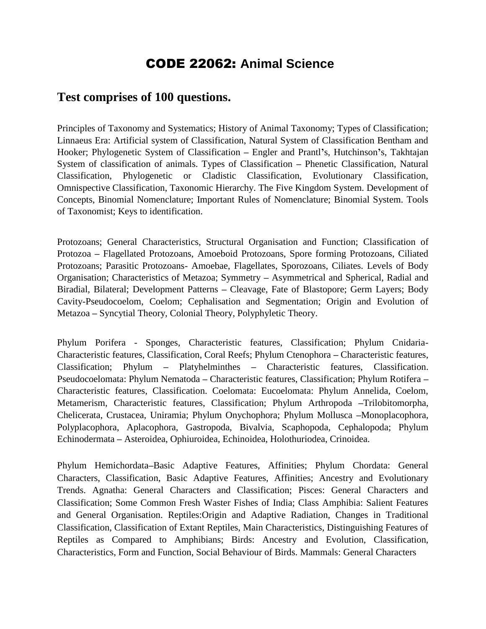# CODE 22062: **Animal Science**

## **Test comprises of 100 questions.**

Principles of Taxonomy and Systematics; History of Animal Taxonomy; Types of Classification; Linnaeus Era: Artificial system of Classification, Natural System of Classification Bentham and Hooker; Phylogenetic System of Classification **–** Engler and Prantl**'**s, Hutchinson**'**s, Takhtajan System of classification of animals. Types of Classification **–** Phenetic Classification, Natural Classification, Phylogenetic or Cladistic Classification, Evolutionary Classification, Omnispective Classification, Taxonomic Hierarchy. The Five Kingdom System. Development of Concepts, Binomial Nomenclature; Important Rules of Nomenclature; Binomial System. Tools of Taxonomist; Keys to identification.

Protozoans; General Characteristics, Structural Organisation and Function; Classification of Protozoa **–** Flagellated Protozoans, Amoeboid Protozoans, Spore forming Protozoans, Ciliated Protozoans; Parasitic Protozoans- Amoebae, Flagellates, Sporozoans, Ciliates. Levels of Body Organisation; Characteristics of Metazoa; Symmetry **–** Asymmetrical and Spherical, Radial and Biradial, Bilateral; Development Patterns **–** Cleavage, Fate of Blastopore; Germ Layers; Body Cavity-Pseudocoelom, Coelom; Cephalisation and Segmentation; Origin and Evolution of Metazoa **–** Syncytial Theory, Colonial Theory, Polyphyletic Theory.

Phylum Porifera - Sponges, Characteristic features, Classification; Phylum Cnidaria-Characteristic features, Classification, Coral Reefs; Phylum Ctenophora **–** Characteristic features, Classification; Phylum **–** Platyhelminthes **–** Characteristic features, Classification. Pseudocoelomata: Phylum Nematoda **–** Characteristic features, Classification; Phylum Rotifera **–** Characteristic features, Classification. Coelomata: Eucoelomata: Phylum Annelida, Coelom, Metamerism, Characteristic features, Classification; Phylum Arthropoda **–**Trilobitomorpha, Chelicerata, Crustacea, Uniramia; Phylum Onychophora; Phylum Mollusca **–**Monoplacophora, Polyplacophora, Aplacophora, Gastropoda, Bivalvia, Scaphopoda, Cephalopoda; Phylum Echinodermata **–** Asteroidea, Ophiuroidea, Echinoidea, Holothuriodea, Crinoidea.

Phylum Hemichordata**–**Basic Adaptive Features, Affinities; Phylum Chordata: General Characters, Classification, Basic Adaptive Features, Affinities; Ancestry and Evolutionary Trends. Agnatha: General Characters and Classification; Pisces: General Characters and Classification; Some Common Fresh Waster Fishes of India; Class Amphibia: Salient Features and General Organisation. Reptiles:Origin and Adaptive Radiation, Changes in Traditional Classification, Classification of Extant Reptiles, Main Characteristics, Distinguishing Features of Reptiles as Compared to Amphibians; Birds: Ancestry and Evolution, Classification, Characteristics, Form and Function, Social Behaviour of Birds. Mammals: General Characters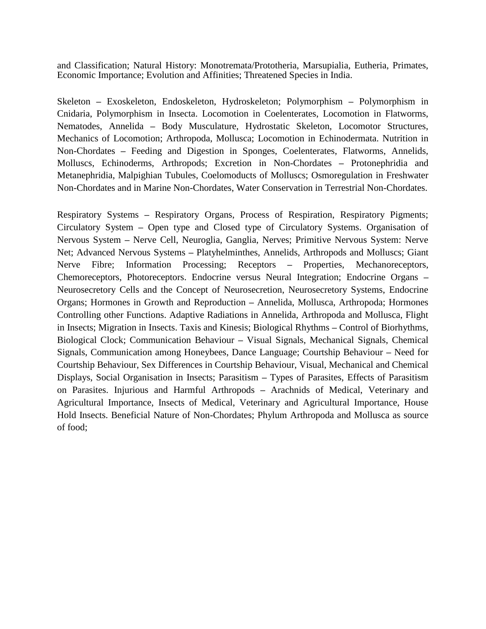and Classification; Natural History: Monotremata/Prototheria, Marsupialia, Eutheria, Primates, Economic Importance; Evolution and Affinities; Threatened Species in India.

Skeleton **–** Exoskeleton, Endoskeleton, Hydroskeleton; Polymorphism **–** Polymorphism in Cnidaria, Polymorphism in Insecta. Locomotion in Coelenterates, Locomotion in Flatworms, Nematodes, Annelida **–** Body Musculature, Hydrostatic Skeleton, Locomotor Structures, Mechanics of Locomotion; Arthropoda, Mollusca; Locomotion in Echinodermata. Nutrition in Non-Chordates **–** Feeding and Digestion in Sponges, Coelenterates, Flatworms, Annelids, Molluscs, Echinoderms, Arthropods; Excretion in Non-Chordates **–** Protonephridia and Metanephridia, Malpighian Tubules, Coelomoducts of Molluscs; Osmoregulation in Freshwater Non-Chordates and in Marine Non-Chordates, Water Conservation in Terrestrial Non-Chordates.

Respiratory Systems **–** Respiratory Organs, Process of Respiration, Respiratory Pigments; Circulatory System **–** Open type and Closed type of Circulatory Systems. Organisation of Nervous System **–** Nerve Cell, Neuroglia, Ganglia, Nerves; Primitive Nervous System: Nerve Net; Advanced Nervous Systems **–** Platyhelminthes, Annelids, Arthropods and Molluscs; Giant Nerve Fibre; Information Processing; Receptors **–** Properties, Mechanoreceptors, Chemoreceptors, Photoreceptors. Endocrine versus Neural Integration; Endocrine Organs **–** Neurosecretory Cells and the Concept of Neurosecretion, Neurosecretory Systems, Endocrine Organs; Hormones in Growth and Reproduction **–** Annelida, Mollusca, Arthropoda; Hormones Controlling other Functions. Adaptive Radiations in Annelida, Arthropoda and Mollusca, Flight in Insects; Migration in Insects. Taxis and Kinesis; Biological Rhythms **–** Control of Biorhythms, Biological Clock; Communication Behaviour **–** Visual Signals, Mechanical Signals, Chemical Signals, Communication among Honeybees, Dance Language; Courtship Behaviour **–** Need for Courtship Behaviour, Sex Differences in Courtship Behaviour, Visual, Mechanical and Chemical Displays, Social Organisation in Insects; Parasitism **–** Types of Parasites, Effects of Parasitism on Parasites. Injurious and Harmful Arthropods **–** Arachnids of Medical, Veterinary and Agricultural Importance, Insects of Medical, Veterinary and Agricultural Importance, House Hold Insects. Beneficial Nature of Non-Chordates; Phylum Arthropoda and Mollusca as source of food;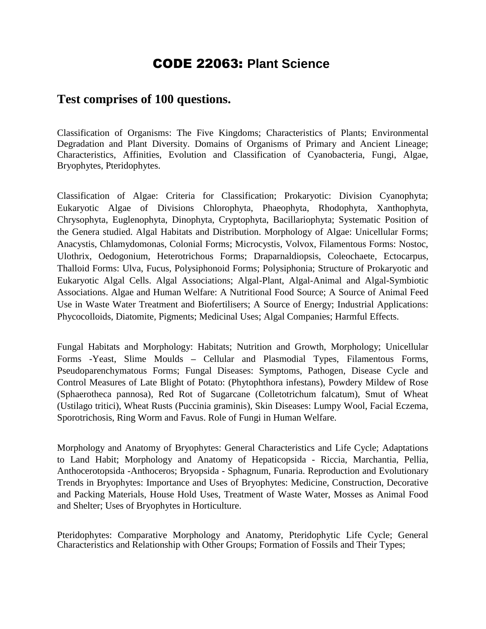# CODE 22063: **Plant Science**

## **Test comprises of 100 questions.**

Classification of Organisms: The Five Kingdoms; Characteristics of Plants; Environmental Degradation and Plant Diversity. Domains of Organisms of Primary and Ancient Lineage; Characteristics, Affinities, Evolution and Classification of Cyanobacteria, Fungi, Algae, Bryophytes, Pteridophytes.

Classification of Algae: Criteria for Classification; Prokaryotic: Division Cyanophyta; Eukaryotic Algae of Divisions Chlorophyta, Phaeophyta, Rhodophyta, Xanthophyta, Chrysophyta, Euglenophyta, Dinophyta, Cryptophyta, Bacillariophyta; Systematic Position of the Genera studied. Algal Habitats and Distribution. Morphology of Algae: Unicellular Forms; Anacystis, Chlamydomonas, Colonial Forms; Microcystis, Volvox, Filamentous Forms: Nostoc, Ulothrix, Oedogonium, Heterotrichous Forms; Draparnaldiopsis, Coleochaete, Ectocarpus, Thalloid Forms: Ulva, Fucus, Polysiphonoid Forms; Polysiphonia; Structure of Prokaryotic and Eukaryotic Algal Cells. Algal Associations; Algal-Plant, Algal-Animal and Algal-Symbiotic Associations. Algae and Human Welfare: A Nutritional Food Source; A Source of Animal Feed Use in Waste Water Treatment and Biofertilisers; A Source of Energy; Industrial Applications: Phycocolloids, Diatomite, Pigments; Medicinal Uses; Algal Companies; Harmful Effects.

Fungal Habitats and Morphology: Habitats; Nutrition and Growth, Morphology; Unicellular Forms -Yeast, Slime Moulds **–** Cellular and Plasmodial Types, Filamentous Forms, Pseudoparenchymatous Forms; Fungal Diseases: Symptoms, Pathogen, Disease Cycle and Control Measures of Late Blight of Potato: (Phytophthora infestans), Powdery Mildew of Rose (Sphaerotheca pannosa), Red Rot of Sugarcane (Colletotrichum falcatum), Smut of Wheat (Ustilago tritici), Wheat Rusts (Puccinia graminis), Skin Diseases: Lumpy Wool, Facial Eczema, Sporotrichosis, Ring Worm and Favus. Role of Fungi in Human Welfare.

Morphology and Anatomy of Bryophytes: General Characteristics and Life Cycle; Adaptations to Land Habit; Morphology and Anatomy of Hepaticopsida - Riccia, Marchantia, Pellia, Anthocerotopsida -Anthoceros; Bryopsida - Sphagnum, Funaria. Reproduction and Evolutionary Trends in Bryophytes: Importance and Uses of Bryophytes: Medicine, Construction, Decorative and Packing Materials, House Hold Uses, Treatment of Waste Water, Mosses as Animal Food and Shelter; Uses of Bryophytes in Horticulture.

Pteridophytes: Comparative Morphology and Anatomy, Pteridophytic Life Cycle; General Characteristics and Relationship with Other Groups; Formation of Fossils and Their Types;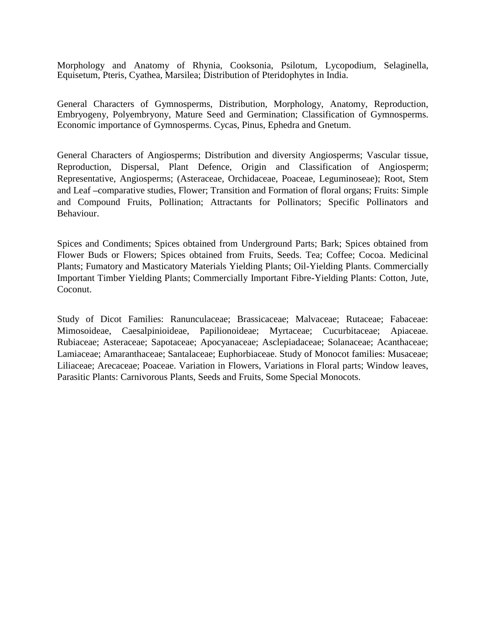Morphology and Anatomy of Rhynia, Cooksonia, Psilotum, Lycopodium, Selaginella, Equisetum, Pteris, Cyathea, Marsilea; Distribution of Pteridophytes in India.

General Characters of Gymnosperms, Distribution, Morphology, Anatomy, Reproduction, Embryogeny, Polyembryony, Mature Seed and Germination; Classification of Gymnosperms. Economic importance of Gymnosperms. Cycas, Pinus, Ephedra and Gnetum.

General Characters of Angiosperms; Distribution and diversity Angiosperms; Vascular tissue, Reproduction, Dispersal, Plant Defence, Origin and Classification of Angiosperm; Representative, Angiosperms; (Asteraceae, Orchidaceae, Poaceae, Leguminoseae); Root, Stem and Leaf **–**comparative studies, Flower; Transition and Formation of floral organs; Fruits: Simple and Compound Fruits, Pollination; Attractants for Pollinators; Specific Pollinators and Behaviour.

Spices and Condiments; Spices obtained from Underground Parts; Bark; Spices obtained from Flower Buds or Flowers; Spices obtained from Fruits, Seeds. Tea; Coffee; Cocoa. Medicinal Plants; Fumatory and Masticatory Materials Yielding Plants; Oil-Yielding Plants. Commercially Important Timber Yielding Plants; Commercially Important Fibre-Yielding Plants: Cotton, Jute, Coconut.

Study of Dicot Families: Ranunculaceae; Brassicaceae; Malvaceae; Rutaceae; Fabaceae: Mimosoideae, Caesalpinioideae, Papilionoideae; Myrtaceae; Cucurbitaceae; Apiaceae. Rubiaceae; Asteraceae; Sapotaceae; Apocyanaceae; Asclepiadaceae; Solanaceae; Acanthaceae; Lamiaceae; Amaranthaceae; Santalaceae; Euphorbiaceae. Study of Monocot families: Musaceae; Liliaceae; Arecaceae; Poaceae. Variation in Flowers, Variations in Floral parts; Window leaves, Parasitic Plants: Carnivorous Plants, Seeds and Fruits, Some Special Monocots.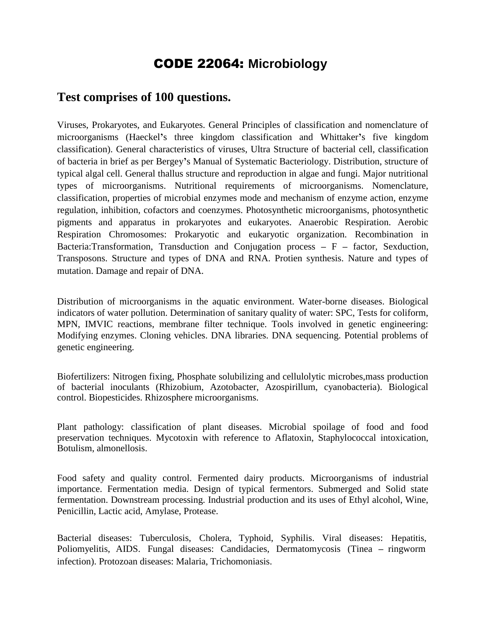# CODE 22064: **Microbiology**

# **Test comprises of 100 questions.**

Viruses, Prokaryotes, and Eukaryotes. General Principles of classification and nomenclature of microorganisms (Haeckel**'**s three kingdom classification and Whittaker**'**s five kingdom classification). General characteristics of viruses, Ultra Structure of bacterial cell, classification of bacteria in brief as per Bergey**'**s Manual of Systematic Bacteriology. Distribution, structure of typical algal cell. General thallus structure and reproduction in algae and fungi. Major nutritional types of microorganisms. Nutritional requirements of microorganisms. Nomenclature, classification, properties of microbial enzymes mode and mechanism of enzyme action, enzyme regulation, inhibition, cofactors and coenzymes. Photosynthetic microorganisms, photosynthetic pigments and apparatus in prokaryotes and eukaryotes. Anaerobic Respiration. Aerobic Respiration Chromosomes: Prokaryotic and eukaryotic organization. Recombination in Bacteria:Transformation, Transduction and Conjugation process **–** F **–** factor, Sexduction, Transposons. Structure and types of DNA and RNA. Protien synthesis. Nature and types of mutation. Damage and repair of DNA.

Distribution of microorganisms in the aquatic environment. Water-borne diseases. Biological indicators of water pollution. Determination of sanitary quality of water: SPC, Tests for coliform, MPN, IMVIC reactions, membrane filter technique. Tools involved in genetic engineering: Modifying enzymes. Cloning vehicles. DNA libraries. DNA sequencing. Potential problems of genetic engineering.

Biofertilizers: Nitrogen fixing, Phosphate solubilizing and cellulolytic microbes,mass production of bacterial inoculants (Rhizobium, Azotobacter, Azospirillum, cyanobacteria). Biological control. Biopesticides. Rhizosphere microorganisms.

Plant pathology: classification of plant diseases. Microbial spoilage of food and food preservation techniques. Mycotoxin with reference to Aflatoxin, Staphylococcal intoxication, Botulism, almonellosis.

Food safety and quality control. Fermented dairy products. Microorganisms of industrial importance. Fermentation media. Design of typical fermentors. Submerged and Solid state fermentation. Downstream processing. Industrial production and its uses of Ethyl alcohol, Wine, Penicillin, Lactic acid, Amylase, Protease.

Bacterial diseases: Tuberculosis, Cholera, Typhoid, Syphilis. Viral diseases: Hepatitis, Poliomyelitis, AIDS. Fungal diseases: Candidacies, Dermatomycosis (Tinea **–** ringworm infection). Protozoan diseases: Malaria, Trichomoniasis.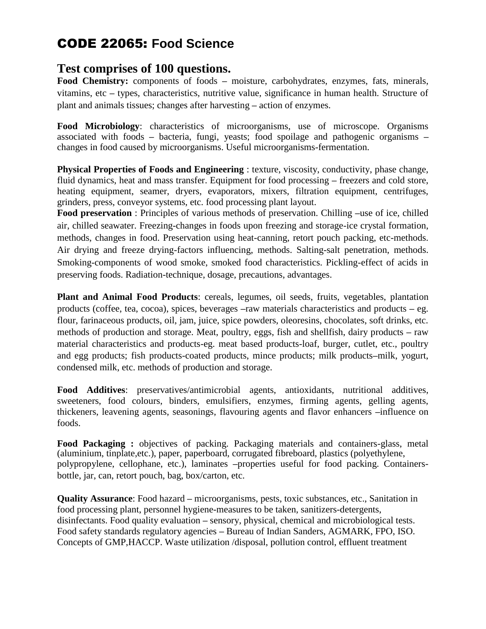# CODE 22065: **Food Science**

## **Test comprises of 100 questions.**

**Food Chemistry:** components of foods **–** moisture, carbohydrates, enzymes, fats, minerals, vitamins, etc **–** types, characteristics, nutritive value, significance in human health. Structure of plant and animals tissues; changes after harvesting **–** action of enzymes.

**Food Microbiology**: characteristics of microorganisms, use of microscope. Organisms associated with foods **–** bacteria, fungi, yeasts; food spoilage and pathogenic organisms **–** changes in food caused by microorganisms. Useful microorganisms-fermentation.

**Physical Properties of Foods and Engineering** : texture, viscosity, conductivity, phase change, fluid dynamics, heat and mass transfer. Equipment for food processing **–** freezers and cold store, heating equipment, seamer, dryers, evaporators, mixers, filtration equipment, centrifuges, grinders, press, conveyor systems, etc. food processing plant layout.

**Food preservation** : Principles of various methods of preservation. Chilling **–**use of ice, chilled air, chilled seawater. Freezing-changes in foods upon freezing and storage-ice crystal formation, methods, changes in food. Preservation using heat-canning, retort pouch packing, etc-methods. Air drying and freeze drying-factors influencing, methods. Salting-salt penetration, methods. Smoking-components of wood smoke, smoked food characteristics. Pickling-effect of acids in preserving foods. Radiation-technique, dosage, precautions, advantages.

**Plant and Animal Food Products**: cereals, legumes, oil seeds, fruits, vegetables, plantation products (coffee, tea, cocoa), spices, beverages **–**raw materials characteristics and products **–** eg. flour, farinaceous products, oil, jam, juice, spice powders, oleoresins, chocolates, soft drinks, etc. methods of production and storage. Meat, poultry, eggs, fish and shellfish, dairy products **–** raw material characteristics and products-eg. meat based products-loaf, burger, cutlet, etc., poultry and egg products; fish products-coated products, mince products; milk products**–**milk, yogurt, condensed milk, etc. methods of production and storage.

**Food Additives**: preservatives/antimicrobial agents, antioxidants, nutritional additives, sweeteners, food colours, binders, emulsifiers, enzymes, firming agents, gelling agents, thickeners, leavening agents, seasonings, flavouring agents and flavor enhancers **–**influence on foods.

Food Packaging : objectives of packing. Packaging materials and containers-glass, metal (aluminium, tinplate,etc.), paper, paperboard, corrugated fibreboard, plastics (polyethylene, polypropylene, cellophane, etc.), laminates **–**properties useful for food packing. Containersbottle, jar, can, retort pouch, bag, box/carton, etc.

**Quality Assurance**: Food hazard **–** microorganisms, pests, toxic substances, etc., Sanitation in food processing plant, personnel hygiene-measures to be taken, sanitizers-detergents, disinfectants. Food quality evaluation **–** sensory, physical, chemical and microbiological tests. Food safety standards regulatory agencies **–** Bureau of Indian Sanders, AGMARK, FPO, ISO. Concepts of GMP,HACCP. Waste utilization /disposal, pollution control, effluent treatment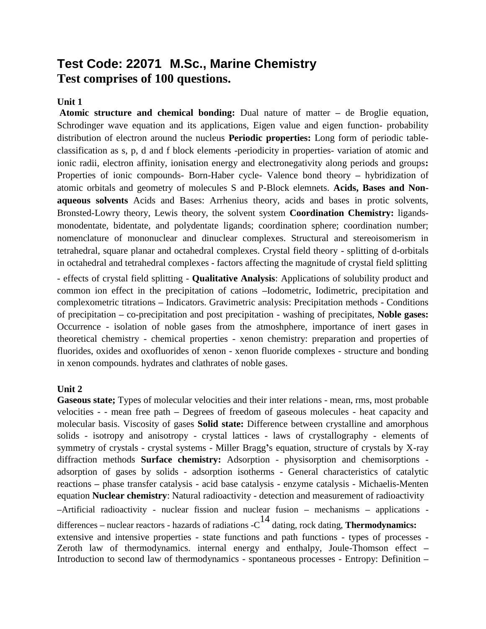# **Test Code: 22071 M.Sc., Marine Chemistry Test comprises of 100 questions.**

### **Unit 1**

**Atomic structure and chemical bonding:** Dual nature of matter **–** de Broglie equation, Schrodinger wave equation and its applications, Eigen value and eigen function- probability distribution of electron around the nucleus **Periodic properties:** Long form of periodic tableclassification as s, p, d and f block elements -periodicity in properties- variation of atomic and ionic radii, electron affinity, ionisation energy and electronegativity along periods and groups**:** Properties of ionic compounds- Born-Haber cycle- Valence bond theory **–** hybridization of atomic orbitals and geometry of molecules S and P-Block elemnets. **Acids, Bases and Nonaqueous solvents** Acids and Bases: Arrhenius theory, acids and bases in protic solvents, Bronsted-Lowry theory, Lewis theory, the solvent system **Coordination Chemistry:** ligandsmonodentate, bidentate, and polydentate ligands; coordination sphere; coordination number; nomenclature of mononuclear and dinuclear complexes. Structural and stereoisomerism in tetrahedral, square planar and octahedral complexes. Crystal field theory - splitting of d-orbitals in octahedral and tetrahedral complexes - factors affecting the magnitude of crystal field splitting

- effects of crystal field splitting - **Qualitative Analysis**: Applications of solubility product and common ion effect in the precipitation of cations **–**Iodometric, Iodimetric, precipitation and complexometric titrations **–** Indicators. Gravimetric analysis: Precipitation methods - Conditions of precipitation **–** co-precipitation and post precipitation - washing of precipitates, **Noble gases:** Occurrence - isolation of noble gases from the atmoshphere, importance of inert gases in theoretical chemistry - chemical properties - xenon chemistry: preparation and properties of fluorides, oxides and oxofluorides of xenon - xenon fluoride complexes - structure and bonding in xenon compounds. hydrates and clathrates of noble gases.

### **Unit 2**

**Gaseous state;** Types of molecular velocities and their inter relations - mean, rms, most probable velocities - - mean free path **–** Degrees of freedom of gaseous molecules - heat capacity and molecular basis. Viscosity of gases **Solid state:** Difference between crystalline and amorphous solids - isotropy and anisotropy - crystal lattices - laws of crystallography - elements of symmetry of crystals - crystal systems - Miller Bragg**'**s equation, structure of crystals by X-ray diffraction methods **Surface chemistry:** Adsorption - physisorption and chemisorptions adsorption of gases by solids - adsorption isotherms - General characteristics of catalytic reactions **–** phase transfer catalysis - acid base catalysis - enzyme catalysis - Michaelis-Menten equation **Nuclear chemistry**: Natural radioactivity - detection and measurement of radioactivity **–**Artificial radioactivity - nuclear fission and nuclear fusion **–** mechanisms **–** applications differences **–** nuclear reactors - hazards of radiations -C <sup>14</sup> dating, rock dating, **Thermodynamics:** extensive and intensive properties - state functions and path functions - types of processes - Zeroth law of thermodynamics. internal energy and enthalpy, Joule-Thomson effect **–** Introduction to second law of thermodynamics - spontaneous processes - Entropy: Definition **–**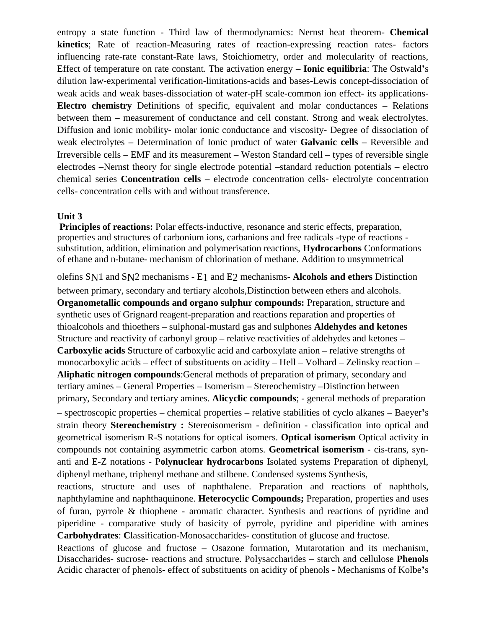entropy a state function - Third law of thermodynamics: Nernst heat theorem- **Chemical kinetics**; Rate of reaction-Measuring rates of reaction-expressing reaction rates- factors influencing rate-rate constant-Rate laws, Stoichiometry, order and molecularity of reactions, Effect of temperature on rate constant. The activation energy **– Ionic equilibria**: The Ostwald**'**s dilution law-experimental verification-limitations-acids and bases-Lewis concept-dissociation of weak acids and weak bases-dissociation of water-pH scale-common ion effect- its applications-**Electro chemistry** Definitions of specific, equivalent and molar conductances **–** Relations between them **–** measurement of conductance and cell constant. Strong and weak electrolytes. Diffusion and ionic mobility- molar ionic conductance and viscosity- Degree of dissociation of weak electrolytes **–** Determination of Ionic product of water **Galvanic cells –** Reversible and Irreversible cells **–** EMF and its measurement **–** Weston Standard cell **–** types of reversible single electrodes **–**Nernst theory for single electrode potential **–**standard reduction potentials **–** electro chemical series **Concentration cells –** electrode concentration cells- electrolyte concentration cells- concentration cells with and without transference.

#### **Unit 3**

**Principles of reactions:** Polar effects-inductive, resonance and steric effects, preparation, properties and structures of carbonium ions, carbanions and free radicals -type of reactions substitution, addition, elimination and polymerisation reactions, **Hydrocarbons** Conformations of ethane and n-butane- mechanism of chlorination of methane. Addition to unsymmetrical

olefins SN1 and SN2 mechanisms - E1 and E2 mechanisms- **Alcohols and ethers** Distinction between primary, secondary and tertiary alcohols,Distinction between ethers and alcohols. **Organometallic compounds and organo sulphur compounds:** Preparation, structure and synthetic uses of Grignard reagent-preparation and reactions reparation and properties of thioalcohols and thioethers **–** sulphonal-mustard gas and sulphones **Aldehydes and ketones** Structure and reactivity of carbonyl group **–** relative reactivities of aldehydes and ketones **– Carboxylic acids** Structure of carboxylic acid and carboxylate anion **–** relative strengths of monocarboxylic acids **–** effect of substituents on acidity **–** Hell **–** Volhard **–** Zelinsky reaction **– Aliphatic nitrogen compounds**:General methods of preparation of primary, secondary and tertiary amines **–** General Properties **–** Isomerism **–** Stereochemistry **–**Distinction between primary, Secondary and tertiary amines. **Alicyclic compounds**; - general methods of preparation **–** spectroscopic properties **–** chemical properties **–** relative stabilities of cyclo alkanes **–** Baeyer**'**s strain theory **Stereochemistry :** Stereoisomerism - definition - classification into optical and geometrical isomerism R-S notations for optical isomers. **Optical isomerism** Optical activity in compounds not containing asymmetric carbon atoms. **Geometrical isomerism** - cis-trans, synanti and E-Z notations - P**olynuclear hydrocarbons** Isolated systems Preparation of diphenyl, diphenyl methane, triphenyl methane and stilbene. Condensed systems Synthesis,

reactions, structure and uses of naphthalene. Preparation and reactions of naphthols, naphthylamine and naphthaquinone. **Heterocyclic Compounds;** Preparation, properties and uses of furan, pyrrole & thiophene - aromatic character. Synthesis and reactions of pyridine and piperidine - comparative study of basicity of pyrrole, pyridine and piperidine with amines **Carbohydrates**: **C**lassification-Monosaccharides- constitution of glucose and fructose.

Reactions of glucose and fructose **–** Osazone formation, Mutarotation and its mechanism, Disaccharides- sucrose- reactions and structure. Polysaccharides **–** starch and cellulose **Phenols** Acidic character of phenols- effect of substituents on acidity of phenols - Mechanisms of Kolbe**'**s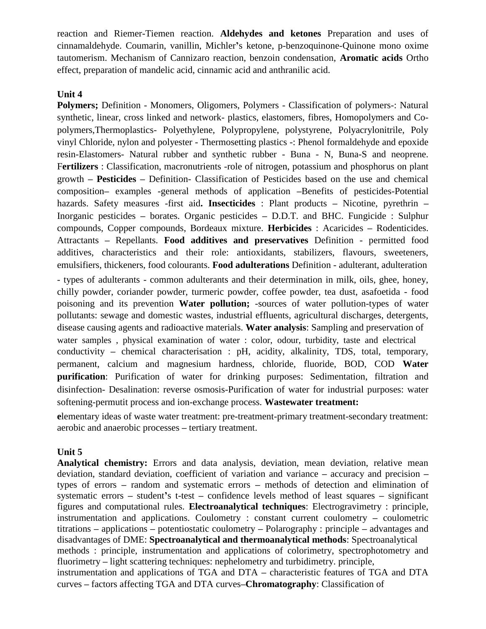reaction and Riemer-Tiemen reaction. **Aldehydes and ketones** Preparation and uses of cinnamaldehyde. Coumarin, vanillin, Michler**'**s ketone, p-benzoquinone-Quinone mono oxime tautomerism. Mechanism of Cannizaro reaction, benzoin condensation, **Aromatic acids** Ortho effect, preparation of mandelic acid, cinnamic acid and anthranilic acid.

### **Unit 4**

**Polymers;** Definition - Monomers, Oligomers, Polymers - Classification of polymers-: Natural synthetic, linear, cross linked and network- plastics, elastomers, fibres, Homopolymers and Copolymers,Thermoplastics- Polyethylene, Polypropylene, polystyrene, Polyacrylonitrile, Poly vinyl Chloride, nylon and polyester - Thermosetting plastics -: Phenol formaldehyde and epoxide resin-Elastomers- Natural rubber and synthetic rubber - Buna - N, Buna-S and neoprene. F**ertilizers** : Classification, macronutrients -role of nitrogen, potassium and phosphorus on plant growth **– Pesticides –** Definition- Classification of Pesticides based on the use and chemical composition**–** examples -general methods of application **–**Benefits of pesticides-Potential hazards. Safety measures -first aid**. Insecticides** : Plant products **–** Nicotine, pyrethrin **–** Inorganic pesticides **–** borates. Organic pesticides **–** D.D.T. and BHC. Fungicide : Sulphur compounds, Copper compounds, Bordeaux mixture. **Herbicides** : Acaricides **–** Rodenticides. Attractants **–** Repellants. **Food additives and preservatives** Definition - permitted food additives, characteristics and their role: antioxidants, stabilizers, flavours, sweeteners, emulsifiers, thickeners, food colourants. **Food adulterations** Definition - adulterant, adulteration

- types of adulterants - common adulterants and their determination in milk, oils, ghee, honey, chilly powder, coriander powder, turmeric powder, coffee powder, tea dust, asafoetida - food poisoning and its prevention **Water pollution;** -sources of water pollution-types of water pollutants: sewage and domestic wastes, industrial effluents, agricultural discharges, detergents, disease causing agents and radioactive materials. **Water analysis**: Sampling and preservation of water samples , physical examination of water : color, odour, turbidity, taste and electrical conductivity **–** chemical characterisation : pH, acidity, alkalinity, TDS, total, temporary, permanent, calcium and magnesium hardness, chloride, fluoride, BOD, COD **Water purification**: Purification of water for drinking purposes: Sedimentation, filtration and disinfection- Desalination: reverse osmosis-Purification of water for industrial purposes: water

softening-permutit process and ion-exchange process. **Wastewater treatment:**

**e**lementary ideas of waste water treatment: pre-treatment-primary treatment-secondary treatment: aerobic and anaerobic processes **–** tertiary treatment.

### **Unit 5**

**Analytical chemistry:** Errors and data analysis, deviation, mean deviation, relative mean deviation, standard deviation, coefficient of variation and variance **–** accuracy and precision **–** types of errors **–** random and systematic errors **–** methods of detection and elimination of systematic errors **–** student**'**s t-test **–** confidence levels method of least squares **–** significant figures and computational rules. **Electroanalytical techniques**: Electrogravimetry : principle, instrumentation and applications. Coulometry : constant current coulometry **–** coulometric titrations **–** applications **–** potentiostatic coulometry **–** Polarography : principle **–** advantages and disadvantages of DME: **Spectroanalytical and thermoanalytical methods**: Spectroanalytical methods : principle, instrumentation and applications of colorimetry, spectrophotometry and fluorimetry **–** light scattering techniques: nephelometry and turbidimetry. principle, instrumentation and applications of TGA and DTA **–** characteristic features of TGA and DTA curves **–** factors affecting TGA and DTA curves**–Chromatography**: Classification of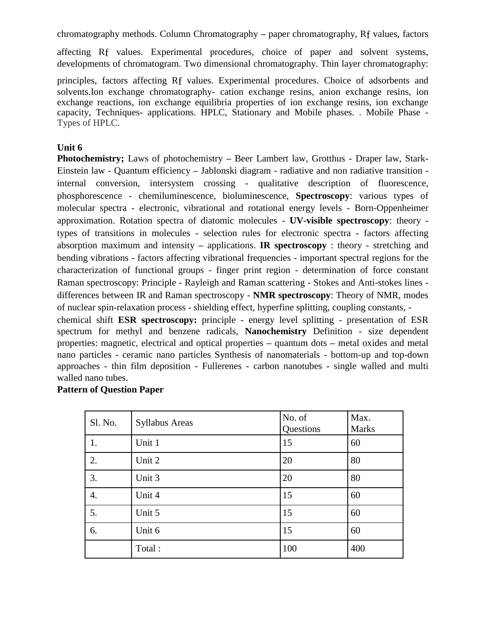chromatography methods. Column Chromatography **–** paper chromatography, Rf values, factors

affecting Rf values. Experimental procedures, choice of paper and solvent systems, developments of chromatogram. Two dimensional chromatography. Thin layer chromatography:

principles, factors affecting Rf values. Experimental procedures. Choice of adsorbents and solvents.Ion exchange chromatography- cation exchange resins, anion exchange resins, ion exchange reactions, ion exchange equilibria properties of ion exchange resins, ion exchange capacity, Techniques- applications. HPLC, Stationary and Mobile phases. . Mobile Phase - Types of HPLC.

#### **Unit 6**

**Photochemistry;** Laws of photochemistry **–** Beer Lambert law, Grotthus - Draper law, Stark-Einstein law - Quantum efficiency **–** Jablonski diagram - radiative and non radiative transition internal conversion, intersystem crossing - qualitative description of fluorescence, phosphorescence - chemiluminescence, bioluminescence, **Spectroscopy**: various types of molecular spectra - electronic, vibrational and rotational energy levels - Born-Oppenheimer approximation. Rotation spectra of diatomic molecules - **UV-visible spectroscopy**: theory types of transitions in molecules - selection rules for electronic spectra - factors affecting absorption maximum and intensity **–** applications. **IR spectroscopy** : theory - stretching and bending vibrations - factors affecting vibrational frequencies - important spectral regions for the characterization of functional groups - finger print region - determination of force constant Raman spectroscopy: Principle - Rayleigh and Raman scattering - Stokes and Anti-stokes lines differences between IR and Raman spectroscopy - **NMR spectroscopy**: Theory of NMR, modes of nuclear spin-relaxation process - shielding effect, hyperfine splitting, coupling constants, -

chemical shift **ESR spectroscopy:** principle - energy level splitting - presentation of ESR spectrum for methyl and benzene radicals, **Nanochemistry** Definition - size dependent properties: magnetic, electrical and optical properties **–** quantum dots **–** metal oxides and metal nano particles - ceramic nano particles Synthesis of nanomaterials - bottom-up and top-down approaches - thin film deposition - Fullerenes - carbon nanotubes - single walled and multi walled nano tubes.

|  | <b>Pattern of Question Paper</b> |  |
|--|----------------------------------|--|
|--|----------------------------------|--|

| Sl. No. | <b>Syllabus Areas</b> | No. of<br>Questions | Max.<br><b>Marks</b> |
|---------|-----------------------|---------------------|----------------------|
| 1.      | Unit 1                | 15                  | 60                   |
| 2.      | Unit 2                | 20                  | 80                   |
| 3.      | Unit 3                | 20                  | 80                   |
| 4.      | Unit 4                | 15                  | 60                   |
| 5.      | Unit 5                | 15                  | 60                   |
| 6.      | Unit 6                | 15                  | 60                   |
|         | Total:                | 100                 | 400                  |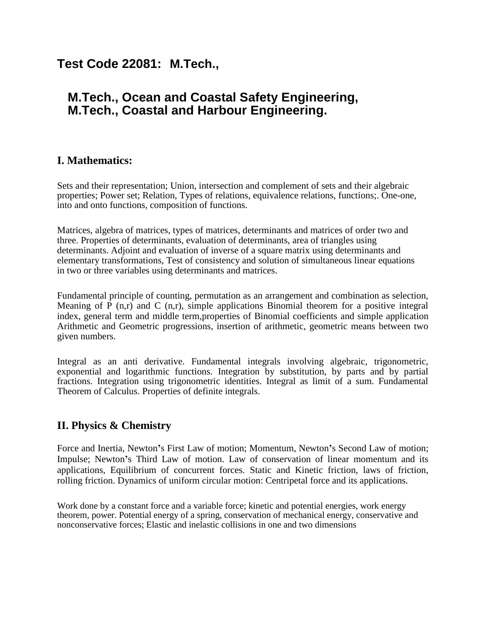**Test Code 22081: M.Tech.,**

# **M.Tech., Ocean and Coastal Safety Engineering, M.Tech., Coastal and Harbour Engineering.**

### **I. Mathematics:**

Sets and their representation; Union, intersection and complement of sets and their algebraic properties; Power set; Relation, Types of relations, equivalence relations, functions;. One-one, into and onto functions, composition of functions.

Matrices, algebra of matrices, types of matrices, determinants and matrices of order two and three. Properties of determinants, evaluation of determinants, area of triangles using determinants. Adjoint and evaluation of inverse of a square matrix using determinants and elementary transformations, Test of consistency and solution of simultaneous linear equations in two or three variables using determinants and matrices.

Fundamental principle of counting, permutation as an arrangement and combination as selection, Meaning of P (n,r) and C (n,r), simple applications Binomial theorem for a positive integral index, general term and middle term,properties of Binomial coefficients and simple application Arithmetic and Geometric progressions, insertion of arithmetic, geometric means between two given numbers.

Integral as an anti derivative. Fundamental integrals involving algebraic, trigonometric, exponential and logarithmic functions. Integration by substitution, by parts and by partial fractions. Integration using trigonometric identities. Integral as limit of a sum. Fundamental Theorem of Calculus. Properties of definite integrals.

## **II. Physics & Chemistry**

Force and Inertia, Newton**'**s First Law of motion; Momentum, Newton**'**s Second Law of motion; Impulse; Newton**'**s Third Law of motion. Law of conservation of linear momentum and its applications, Equilibrium of concurrent forces. Static and Kinetic friction, laws of friction, rolling friction. Dynamics of uniform circular motion: Centripetal force and its applications.

Work done by a constant force and a variable force; kinetic and potential energies, work energy theorem, power. Potential energy of a spring, conservation of mechanical energy, conservative and nonconservative forces; Elastic and inelastic collisions in one and two dimensions